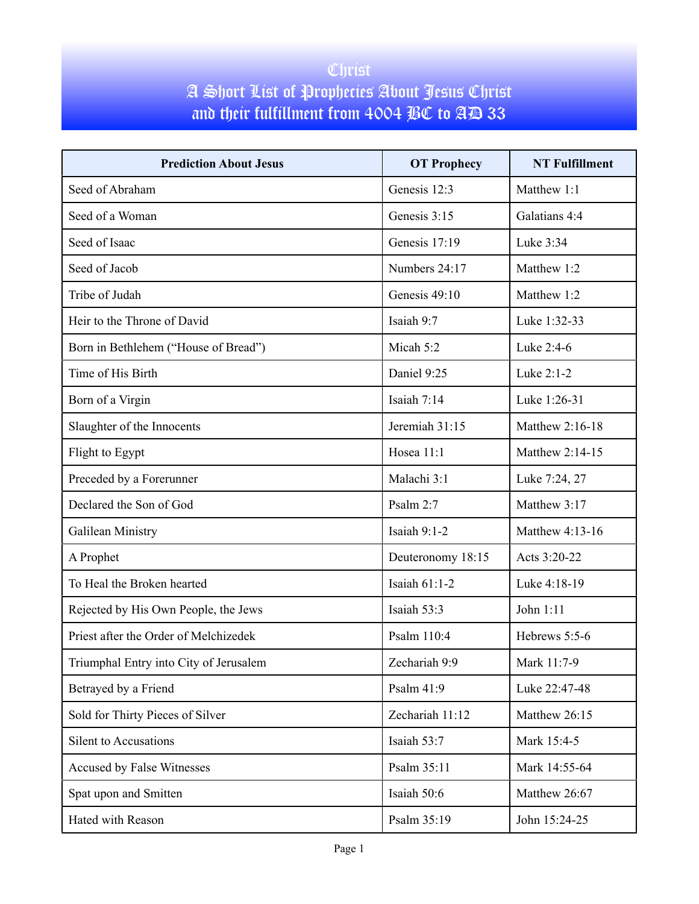## Christ A Short List of Prophecies About Jesus Christ and their fulfillment from 4004 BC to AD 33

| <b>Prediction About Jesus</b>          | <b>OT Prophecy</b> | <b>NT Fulfillment</b> |
|----------------------------------------|--------------------|-----------------------|
| Seed of Abraham                        | Genesis 12:3       | Matthew 1:1           |
| Seed of a Woman                        | Genesis 3:15       | Galatians 4:4         |
| Seed of Isaac                          | Genesis 17:19      | Luke 3:34             |
| Seed of Jacob                          | Numbers 24:17      | Matthew 1:2           |
| Tribe of Judah                         | Genesis 49:10      | Matthew 1:2           |
| Heir to the Throne of David            | Isaiah 9:7         | Luke 1:32-33          |
| Born in Bethlehem ("House of Bread")   | Micah 5:2          | Luke 2:4-6            |
| Time of His Birth                      | Daniel 9:25        | Luke 2:1-2            |
| Born of a Virgin                       | Isaiah $7:14$      | Luke 1:26-31          |
| Slaughter of the Innocents             | Jeremiah 31:15     | Matthew 2:16-18       |
| Flight to Egypt                        | Hosea 11:1         | Matthew 2:14-15       |
| Preceded by a Forerunner               | Malachi 3:1        | Luke 7:24, 27         |
| Declared the Son of God                | Psalm 2:7          | Matthew 3:17          |
| Galilean Ministry                      | Isaiah $9:1-2$     | Matthew 4:13-16       |
| A Prophet                              | Deuteronomy 18:15  | Acts 3:20-22          |
| To Heal the Broken hearted             | Isaiah 61:1-2      | Luke 4:18-19          |
| Rejected by His Own People, the Jews   | Isaiah 53:3        | John 1:11             |
| Priest after the Order of Melchizedek  | Psalm 110:4        | Hebrews 5:5-6         |
| Triumphal Entry into City of Jerusalem | Zechariah 9:9      | Mark 11:7-9           |
| Betrayed by a Friend                   | Psalm 41:9         | Luke 22:47-48         |
| Sold for Thirty Pieces of Silver       | Zechariah 11:12    | Matthew 26:15         |
| Silent to Accusations                  | Isaiah 53:7        | Mark 15:4-5           |
| Accused by False Witnesses             | Psalm 35:11        | Mark 14:55-64         |
| Spat upon and Smitten                  | Isaiah 50:6        | Matthew 26:67         |
| Hated with Reason                      | Psalm 35:19        | John 15:24-25         |